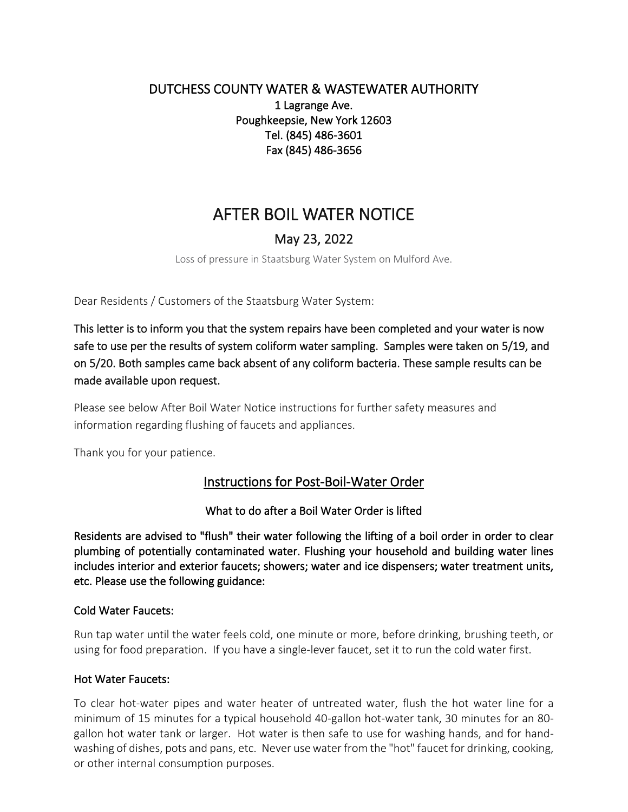# DUTCHESS COUNTY WATER & WASTEWATER AUTHORITY 1 Lagrange Ave. Poughkeepsie, New York 12603 Tel. (845) 486-3601 Fax (845) 486-3656

# AFTER BOIL WATER NOTICE

# May 23, 2022

Loss of pressure in Staatsburg Water System on Mulford Ave.

Dear Residents / Customers of the Staatsburg Water System:

This letter is to inform you that the system repairs have been completed and your water is now safe to use per the results of system coliform water sampling. Samples were taken on 5/19, and on 5/20. Both samples came back absent of any coliform bacteria. These sample results can be made available upon request.

Please see below After Boil Water Notice instructions for further safety measures and information regarding flushing of faucets and appliances.

Thank you for your patience.

# Instructions for Post-Boil-Water Order

What to do after a Boil Water Order is lifted

Residents are advised to "flush" their water following the lifting of a boil order in order to clear plumbing of potentially contaminated water. Flushing your household and building water lines includes interior and exterior faucets; showers; water and ice dispensers; water treatment units, etc. Please use the following guidance:

#### Cold Water Faucets:

Run tap water until the water feels cold, one minute or more, before drinking, brushing teeth, or using for food preparation. If you have a single-lever faucet, set it to run the cold water first.

#### Hot Water Faucets:

To clear hot-water pipes and water heater of untreated water, flush the hot water line for a minimum of 15 minutes for a typical household 40-gallon hot-water tank, 30 minutes for an 80 gallon hot water tank or larger. Hot water is then safe to use for washing hands, and for handwashing of dishes, pots and pans, etc. Never use water from the "hot" faucet for drinking, cooking, or other internal consumption purposes.